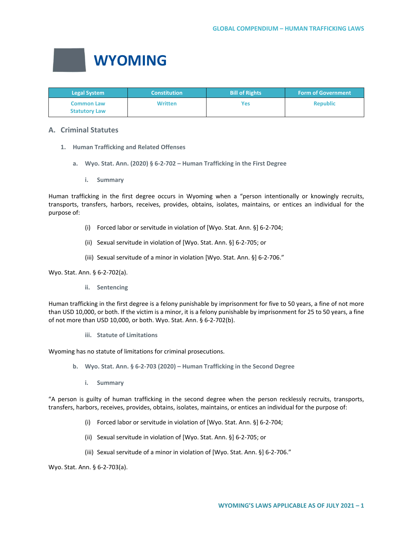

| <b>Legal System</b>                       | <b>Constitution</b> | <b>Bill of Rights</b> | <b>Form of Government</b> |
|-------------------------------------------|---------------------|-----------------------|---------------------------|
| <b>Common Law</b><br><b>Statutory Law</b> | <b>Written</b>      | Yes                   | <b>Republic</b>           |

# **A. Criminal Statutes**

- **1. Human Trafficking and Related Offenses**
	- **a. Wyo. Stat. Ann. (2020) § 6-2-702 – Human Trafficking in the First Degree**
		- **i. Summary**

Human trafficking in the first degree occurs in Wyoming when a "person intentionally or knowingly recruits, transports, transfers, harbors, receives, provides, obtains, isolates, maintains, or entices an individual for the purpose of:

- (i) Forced labor or servitude in violation of [Wyo. Stat. Ann. §] 6-2-704;
- (ii) Sexual servitude in violation of [Wyo. Stat. Ann. §] 6-2-705; or
- (iii) Sexual servitude of a minor in violation [Wyo. Stat. Ann. §] 6-2-706."

Wyo. Stat. Ann. § 6-2-702(a).

**ii. Sentencing**

Human trafficking in the first degree is a felony punishable by imprisonment for five to 50 years, a fine of not more than USD 10,000, or both. If the victim is a minor, it is a felony punishable by imprisonment for 25 to 50 years, a fine of not more than USD 10,000, or both. Wyo. Stat. Ann. § 6-2-702(b).

**iii. Statute of Limitations**

Wyoming has no statute of limitations for criminal prosecutions.

- **b. Wyo. Stat. Ann. § 6-2-703 (2020) – Human Trafficking in the Second Degree**
	- **i. Summary**

"A person is guilty of human trafficking in the second degree when the person recklessly recruits, transports, transfers, harbors, receives, provides, obtains, isolates, maintains, or entices an individual for the purpose of:

- (i) Forced labor or servitude in violation of [Wyo. Stat. Ann. §] 6-2-704;
- (ii) Sexual servitude in violation of [Wyo. Stat. Ann. §] 6-2-705; or
- (iii) Sexual servitude of a minor in violation of [Wyo. Stat. Ann. §] 6-2-706."

Wyo. Stat. Ann. § 6-2-703(a).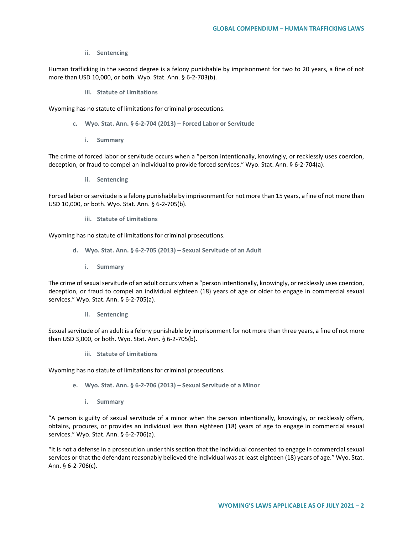**ii. Sentencing**

Human trafficking in the second degree is a felony punishable by imprisonment for two to 20 years, a fine of not more than USD 10,000, or both. Wyo. Stat. Ann. § 6-2-703(b).

**iii. Statute of Limitations**

Wyoming has no statute of limitations for criminal prosecutions.

- **c. Wyo. Stat. Ann. § 6-2-704 (2013) – Forced Labor or Servitude** 
	- **i. Summary**

The crime of forced labor or servitude occurs when a "person intentionally, knowingly, or recklessly uses coercion, deception, or fraud to compel an individual to provide forced services." Wyo. Stat. Ann. § 6-2-704(a).

**ii. Sentencing**

Forced labor or servitude is a felony punishable by imprisonment for not more than 15 years, a fine of not more than USD 10,000, or both. Wyo. Stat. Ann. § 6-2-705(b).

**iii. Statute of Limitations**

Wyoming has no statute of limitations for criminal prosecutions.

- **d. Wyo. Stat. Ann. § 6-2-705 (2013) – Sexual Servitude of an Adult** 
	- **i. Summary**

The crime of sexual servitude of an adult occurs when a "person intentionally, knowingly, or recklessly uses coercion, deception, or fraud to compel an individual eighteen (18) years of age or older to engage in commercial sexual services." Wyo. Stat. Ann. § 6-2-705(a).

**ii. Sentencing**

Sexual servitude of an adult is a felony punishable by imprisonment for not more than three years, a fine of not more than USD 3,000, or both. Wyo. Stat. Ann. § 6-2-705(b).

**iii. Statute of Limitations**

Wyoming has no statute of limitations for criminal prosecutions.

- **e. Wyo. Stat. Ann. § 6-2-706 (2013) – Sexual Servitude of a Minor** 
	- **i. Summary**

"A person is guilty of sexual servitude of a minor when the person intentionally, knowingly, or recklessly offers, obtains, procures, or provides an individual less than eighteen (18) years of age to engage in commercial sexual services." Wyo. Stat. Ann. § 6-2-706(a).

"It is not a defense in a prosecution under this section that the individual consented to engage in commercial sexual services or that the defendant reasonably believed the individual was at least eighteen (18) years of age." Wyo. Stat. Ann. § 6-2-706(c).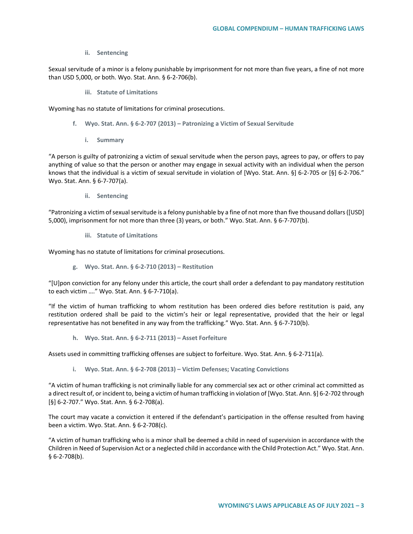#### **ii. Sentencing**

Sexual servitude of a minor is a felony punishable by imprisonment for not more than five years, a fine of not more than USD 5,000, or both. Wyo. Stat. Ann. § 6-2-706(b).

**iii. Statute of Limitations**

Wyoming has no statute of limitations for criminal prosecutions.

- **f. Wyo. Stat. Ann. § 6-2-707 (2013) – Patronizing a Victim of Sexual Servitude**
	- **i. Summary**

"A person is guilty of patronizing a victim of sexual servitude when the person pays, agrees to pay, or offers to pay anything of value so that the person or another may engage in sexual activity with an individual when the person knows that the individual is a victim of sexual servitude in violation of [Wyo. Stat. Ann. §] 6-2-705 or [§] 6-2-706." Wyo. Stat. Ann. § 6-7-707(a).

**ii. Sentencing**

"Patronizing a victim of sexual servitude is a felony punishable by a fine of not more than five thousand dollars ([USD] 5,000), imprisonment for not more than three (3) years, or both." Wyo. Stat. Ann. § 6-7-707(b).

**iii. Statute of Limitations**

Wyoming has no statute of limitations for criminal prosecutions.

**g. Wyo. Stat. Ann. § 6-2-710 (2013) – Restitution**

"[U]pon conviction for any felony under this article, the court shall order a defendant to pay mandatory restitution to each victim …." Wyo. Stat. Ann. § 6-7-710(a).

"If the victim of human trafficking to whom restitution has been ordered dies before restitution is paid, any restitution ordered shall be paid to the victim's heir or legal representative, provided that the heir or legal representative has not benefited in any way from the trafficking." Wyo. Stat. Ann. § 6-7-710(b).

**h. Wyo. Stat. Ann. § 6-2-711 (2013) – Asset Forfeiture** 

Assets used in committing trafficking offenses are subject to forfeiture. Wyo. Stat. Ann. § 6-2-711(a).

**i. Wyo. Stat. Ann. § 6-2-708 (2013) – Victim Defenses; Vacating Convictions**

"A victim of human trafficking is not criminally liable for any commercial sex act or other criminal act committed as a direct result of, or incident to, being a victim of human trafficking in violation of [Wyo. Stat. Ann. §] 6-2-702 through [§] 6-2-707." Wyo. Stat. Ann. § 6-2-708(a).

The court may vacate a conviction it entered if the defendant's participation in the offense resulted from having been a victim. Wyo. Stat. Ann. § 6-2-708(c).

"A victim of human trafficking who is a minor shall be deemed a child in need of supervision in accordance with the Children in Need of Supervision Act or a neglected child in accordance with the Child Protection Act." Wyo. Stat. Ann. § 6-2-708(b).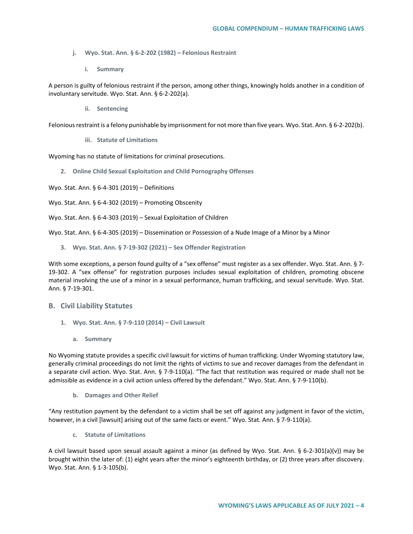- **j. Wyo. Stat. Ann. § 6-2-202 (1982) – Felonious Restraint**
	- **i. Summary**

A person is guilty of felonious restraint if the person, among other things, knowingly holds another in a condition of involuntary servitude. Wyo. Stat. Ann. § 6-2-202(a).

**ii. Sentencing**

Felonious restraint is a felony punishable by imprisonment for not more than five years. Wyo. Stat. Ann. § 6-2-202(b).

**iii. Statute of Limitations**

Wyoming has no statute of limitations for criminal prosecutions.

**2. Online Child Sexual Exploitation and Child Pornography Offenses** 

Wyo. Stat. Ann. § 6-4-301 (2019) – Definitions

Wyo. Stat. Ann. § 6-4-302 (2019) – Promoting Obscenity

Wyo. Stat. Ann. § 6-4-303 (2019) – Sexual Exploitation of Children

Wyo. Stat. Ann. § 6-4-305 (2019) – Dissemination or Possession of a Nude Image of a Minor by a Minor

**3. Wyo. Stat. Ann. § 7-19-302 (2021) – Sex Offender Registration**

With some exceptions, a person found guilty of a "sex offense" must register as a sex offender. Wyo. Stat. Ann. § 7-19-302. A "sex offense" for registration purposes includes sexual exploitation of children, promoting obscene material involving the use of a minor in a sexual performance, human trafficking, and sexual servitude. Wyo. Stat. Ann. § 7-19-301.

#### **B. Civil Liability Statutes**

- **1. Wyo. Stat. Ann. § 7-9-110 (2014) – Civil Lawsuit** 
	- **a. Summary**

No Wyoming statute provides a specific civil lawsuit for victims of human trafficking. Under Wyoming statutory law, generally criminal proceedings do not limit the rights of victims to sue and recover damages from the defendant in a separate civil action. Wyo. Stat. Ann. § 7-9-110(a). "The fact that restitution was required or made shall not be admissible as evidence in a civil action unless offered by the defendant." Wyo. Stat. Ann. § 7-9-110(b).

**b. Damages and Other Relief**

"Any restitution payment by the defendant to a victim shall be set off against any judgment in favor of the victim, however, in a civil [lawsuit] arising out of the same facts or event." Wyo. Stat. Ann. § 7-9-110(a).

**c. Statute of Limitations**

A civil lawsuit based upon sexual assault against a minor (as defined by Wyo. Stat. Ann. § 6-2-301(a)(v)) may be brought within the later of: (1) eight years after the minor's eighteenth birthday, or (2) three years after discovery. Wyo. Stat. Ann. § 1-3-105(b).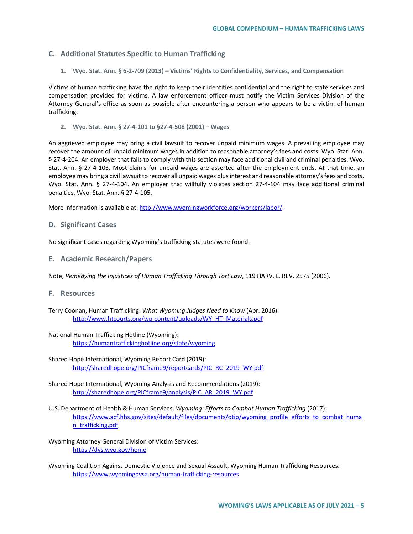# **C. Additional Statutes Specific to Human Trafficking**

**1. Wyo. Stat. Ann. § 6-2-709 (2013) – Victims' Rights to Confidentiality, Services, and Compensation**

Victims of human trafficking have the right to keep their identities confidential and the right to state services and compensation provided for victims. A law enforcement officer must notify the Victim Services Division of the Attorney General's office as soon as possible after encountering a person who appears to be a victim of human trafficking.

**2. Wyo. Stat. Ann. § 27-4-101 to §27-4-508 (2001) – Wages**

An aggrieved employee may bring a civil lawsuit to recover unpaid minimum wages. A prevailing employee may recover the amount of unpaid minimum wages in addition to reasonable attorney's fees and costs. Wyo. Stat. Ann. § 27-4-204. An employer that fails to comply with this section may face additional civil and criminal penalties. Wyo. Stat. Ann. § 27-4-103. Most claims for unpaid wages are asserted after the employment ends. At that time, an employee may bring a civil lawsuit to recover all unpaid wages plus interest and reasonable attorney's fees and costs. Wyo. Stat. Ann. § 27-4-104. An employer that willfully violates section 27-4-104 may face additional criminal penalties. Wyo. Stat. Ann. § 27-4-105.

More information is available at: [http://www.wyomingworkforce.org/workers/labor/.](http://www.wyomingworkforce.org/workers/labor/)

### **D. Significant Cases**

No significant cases regarding Wyoming's trafficking statutes were found.

**E. Academic Research/Papers**

Note, *Remedying the Injustices of Human Trafficking Through Tort Law*, 119 HARV. L. REV. 2575 (2006).

- **F. Resources**
- Terry Coonan, Human Trafficking: *What Wyoming Judges Need to Know* (Apr. 2016): [http://www.htcourts.org/wp-content/uploads/WY\\_HT\\_Materials.pdf](http://www.htcourts.org/wp-content/uploads/WY_HT_Materials.pdf)
- National Human Trafficking Hotline (Wyoming): <https://humantraffickinghotline.org/state/wyoming>
- Shared Hope International, Wyoming Report Card (2019): [http://sharedhope.org/PICframe9/reportcards/PIC\\_RC\\_2019\\_WY.pdf](http://sharedhope.org/PICframe9/reportcards/PIC_RC_2019_WY.pdf)
- Shared Hope International, Wyoming Analysis and Recommendations (2019): [http://sharedhope.org/PICframe9/analysis/PIC\\_AR\\_2019\\_WY.pdf](http://sharedhope.org/PICframe9/analysis/PIC_AR_2019_WY.pdf)
- U.S. Department of Health & Human Services, *Wyoming: Efforts to Combat Human Trafficking* (2017): [https://www.acf.hhs.gov/sites/default/files/documents/otip/wyoming\\_profile\\_efforts\\_to\\_combat\\_huma](https://www.acf.hhs.gov/sites/default/files/documents/otip/wyoming_profile_efforts_to_combat_human_trafficking.pdf) [n\\_trafficking.pdf](https://www.acf.hhs.gov/sites/default/files/documents/otip/wyoming_profile_efforts_to_combat_human_trafficking.pdf)
- Wyoming Attorney General Division of Victim Services: <https://dvs.wyo.gov/home>
- Wyoming Coalition Against Domestic Violence and Sexual Assault, Wyoming Human Trafficking Resources: <https://www.wyomingdvsa.org/human-trafficking-resources>